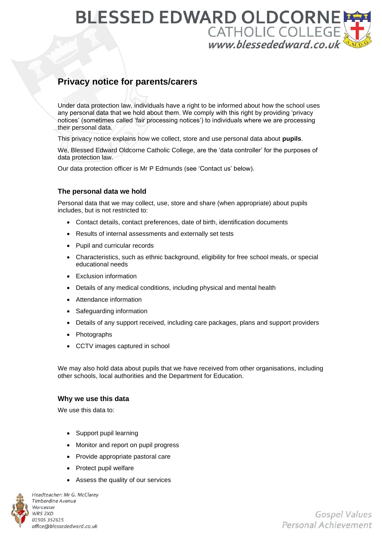## **BLESSED EDWARD OLDCORNI** CATHOLIC COLLEGE

### **Privacy notice for parents/carers**

Under data protection law, individuals have a right to be informed about how the school uses any personal data that we hold about them. We comply with this right by providing 'privacy notices' (sometimes called 'fair processing notices') to individuals where we are processing their personal data.

This privacy notice explains how we collect, store and use personal data about **pupils**.

We, Blessed Edward Oldcorne Catholic College, are the 'data controller' for the purposes of data protection law.

Our data protection officer is Mr P Edmunds (see 'Contact us' below).

#### **The personal data we hold**

Personal data that we may collect, use, store and share (when appropriate) about pupils includes, but is not restricted to:

- Contact details, contact preferences, date of birth, identification documents
- Results of internal assessments and externally set tests
- Pupil and curricular records
- Characteristics, such as ethnic background, eligibility for free school meals, or special educational needs
- Exclusion information
- Details of any medical conditions, including physical and mental health
- Attendance information
- Safeguarding information
- Details of any support received, including care packages, plans and support providers
- **Photographs**
- CCTV images captured in school

We may also hold data about pupils that we have received from other organisations, including other schools, local authorities and the Department for Education.

#### **Why we use this data**

We use this data to:

- Support pupil learning
- Monitor and report on pupil progress
- Provide appropriate pastoral care
- Protect pupil welfare
- Assess the quality of our services



Headteacher: Mr G. McClarey **Timberdine Avenue** Worcester WR5 2XD 01905 352615 office@blessededward.co.uk

Gospel Values Personal Achievement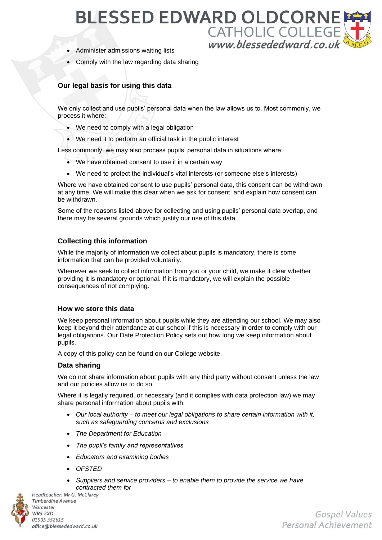## **BLESSED EDWARD OLDCORNE** CATHOLIC COLLEGE

- Administer admissions waiting lists
- Comply with the law regarding data sharing

#### **Our legal basis for using this data**

*.*

We only collect and use pupils' personal data when the law allows us to. Most commonly, we process it where:

- We need to comply with a legal obligation
- We need it to perform an official task in the public interest

Less commonly, we may also process pupils' personal data in situations where:

- We have obtained consent to use it in a certain way
- We need to protect the individual's vital interests (or someone else's interests)

Where we have obtained consent to use pupils' personal data, this consent can be withdrawn at any time. We will make this clear when we ask for consent, and explain how consent can be withdrawn.

Some of the reasons listed above for collecting and using pupils' personal data overlap, and there may be several grounds which justify our use of this data.

#### **Collecting this information**

While the majority of information we collect about pupils is mandatory, there is some information that can be provided voluntarily.

Whenever we seek to collect information from you or your child, we make it clear whether providing it is mandatory or optional. If it is mandatory, we will explain the possible consequences of not complying.

#### **How we store this data**

We keep personal information about pupils while they are attending our school. We may also keep it beyond their attendance at our school if this is necessary in order to comply with our legal obligations. Our Date Protection Policy sets out how long we keep information about pupils.

A copy of this policy can be found on our College website.

#### **Data sharing**

We do not share information about pupils with any third party without consent unless the law and our policies allow us to do so.

Where it is legally required, or necessary (and it complies with data protection law) we may share personal information about pupils with:

- *Our local authority – to meet our legal obligations to share certain information with it, such as safeguarding concerns and exclusions*
- *The Department for Education*
- *The pupil's family and representatives*
- *Educators and examining bodies*
- *OFSTED*
- *Suppliers and service providers – to enable them to provide the service we have contracted them for*Headteacher: Mr G. McClarey



**Timberdine Avenue** Worcester WR5 2XD 01905 352615 office@blessededward.co.uk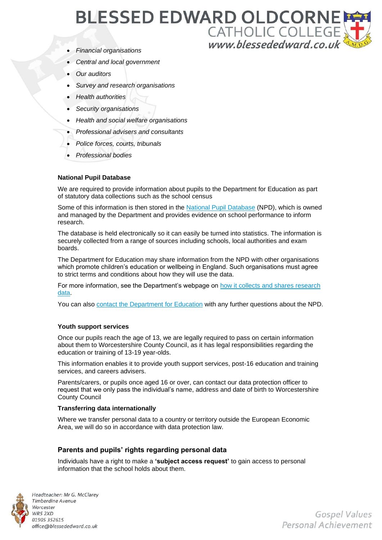## **BLESSED EDWARD OLDCORNE** CATHOLIC COLLEGE

- *Financial organisations*
- *Central and local government*
- *Our auditors*
- *Survey and research organisations*
- *Health authorities*
- *Security organisations*
- *Health and social welfare organisations*
- *Professional advisers and consultants*
- *Police forces, courts, tribunals*
- *Professional bodies*

#### **National Pupil Database**

We are required to provide information about pupils to the Department for Education as part of statutory data collections such as the school census

Some of this information is then stored in the [National Pupil Database](https://www.gov.uk/government/publications/national-pupil-database-user-guide-and-supporting-information) (NPD), which is owned and managed by the Department and provides evidence on school performance to inform research.

The database is held electronically so it can easily be turned into statistics. The information is securely collected from a range of sources including schools, local authorities and exam boards.

The Department for Education may share information from the NPD with other organisations which promote children's education or wellbeing in England. Such organisations must agree to strict terms and conditions about how they will use the data.

For more information, see the Department's webpage on [how it collects and shares research](https://www.gov.uk/data-protection-how-we-collect-and-share-research-data)  [data.](https://www.gov.uk/data-protection-how-we-collect-and-share-research-data)

You can also [contact the Department for Education](https://www.gov.uk/contact-dfe) with any further questions about the NPD.

#### **Youth support services**

Once our pupils reach the age of 13, we are legally required to pass on certain information about them to Worcestershire County Council, as it has legal responsibilities regarding the education or training of 13-19 year-olds.

This information enables it to provide youth support services, post-16 education and training services, and careers advisers.

Parents/carers, or pupils once aged 16 or over, can contact our data protection officer to request that we only pass the individual's name, address and date of birth to Worcestershire County Council

#### **Transferring data internationally**

Where we transfer personal data to a country or territory outside the European Economic Area, we will do so in accordance with data protection law.

#### **Parents and pupils' rights regarding personal data**

Individuals have a right to make a **'subject access request'** to gain access to personal information that the school holds about them.



Headteacher: Mr G. McClarey **Timberdine Avenue** Worcester WR5 2XD 01905 352615 office@blessededward.co.uk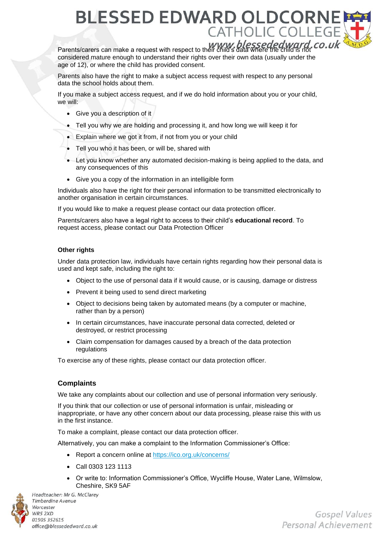## **BLESSED EDWARD OLDCORI CATHOLIC C**

Parents/carers can make a request with respect to their child's data where the child is not considered mature enough to understand their rights over their own data (usually under the age of 12), or where the child has provided consent.

Parents also have the right to make a subject access request with respect to any personal data the school holds about them.

If you make a subject access request, and if we do hold information about you or your child, we will:

- Give you a description of it
- Tell you why we are holding and processing it, and how long we will keep it for
- Explain where we got it from, if not from you or your child
- Tell you who it has been, or will be, shared with
- Let you know whether any automated decision-making is being applied to the data, and any consequences of this
- Give you a copy of the information in an intelligible form

Individuals also have the right for their personal information to be transmitted electronically to another organisation in certain circumstances.

If you would like to make a request please contact our data protection officer.

Parents/carers also have a legal right to access to their child's **educational record**. To request access, please contact our Data Protection Officer

#### **Other rights**

Under data protection law, individuals have certain rights regarding how their personal data is used and kept safe, including the right to:

- Object to the use of personal data if it would cause, or is causing, damage or distress
- Prevent it being used to send direct marketing
- Object to decisions being taken by automated means (by a computer or machine, rather than by a person)
- In certain circumstances, have inaccurate personal data corrected, deleted or destroyed, or restrict processing
- Claim compensation for damages caused by a breach of the data protection regulations

To exercise any of these rights, please contact our data protection officer.

#### **Complaints**

We take any complaints about our collection and use of personal information very seriously.

If you think that our collection or use of personal information is unfair, misleading or inappropriate, or have any other concern about our data processing, please raise this with us in the first instance.

To make a complaint, please contact our data protection officer.

Alternatively, you can make a complaint to the Information Commissioner's Office:

- Report a concern online at<https://ico.org.uk/concerns/>
- Call 0303 123 1113
- Or write to: Information Commissioner's Office, Wycliffe House, Water Lane, Wilmslow, Cheshire, SK9 5AF